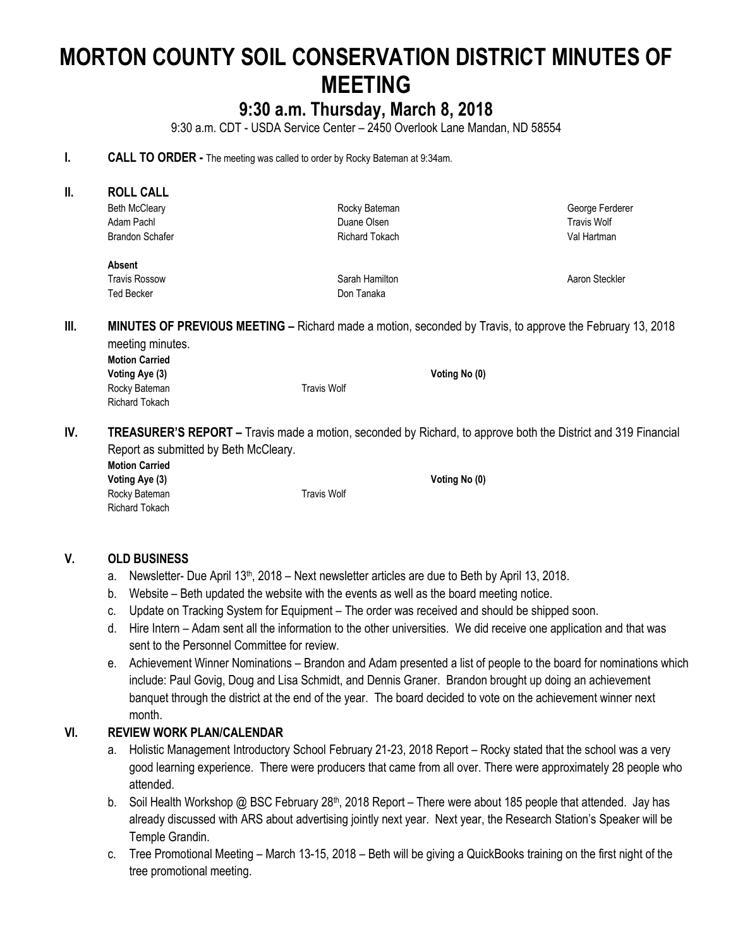# **MORTON COUNTY SOIL CONSERVATION DISTRICT MINUTES OF MEETING**

# **9:30 a.m. Thursday, March 8, 2018**

9:30 a.m. CDT - USDA Service Center – 2450 Overlook Lane Mandan, ND 58554

#### **I. CALL TO ORDER** - The meeting was called to order by Rocky Bateman at 9:34am.

| Ⅱ.  | <b>ROLL CALL</b>                                                                                                      |                       |                 |  |  |
|-----|-----------------------------------------------------------------------------------------------------------------------|-----------------------|-----------------|--|--|
|     | <b>Beth McCleary</b>                                                                                                  | Rocky Bateman         | George Ferderer |  |  |
|     | Adam Pachl                                                                                                            | Duane Olsen           | Travis Wolf     |  |  |
|     | <b>Brandon Schafer</b>                                                                                                | <b>Richard Tokach</b> | Val Hartman     |  |  |
|     | Absent                                                                                                                |                       |                 |  |  |
|     | <b>Travis Rossow</b>                                                                                                  | Sarah Hamilton        | Aaron Steckler  |  |  |
|     | <b>Ted Becker</b>                                                                                                     | Don Tanaka            |                 |  |  |
|     | meeting minutes.<br><b>Motion Carried</b>                                                                             |                       |                 |  |  |
|     |                                                                                                                       |                       |                 |  |  |
|     | Voting Aye (3)                                                                                                        | Voting No (0)         |                 |  |  |
|     | Rocky Bateman                                                                                                         | <b>Travis Wolf</b>    |                 |  |  |
|     | <b>Richard Tokach</b>                                                                                                 |                       |                 |  |  |
| IV. | <b>TREASURER'S REPORT</b> – Travis made a motion, seconded by Richard, to approve both the District and 319 Financial |                       |                 |  |  |
|     | Report as submitted by Beth McCleary.                                                                                 |                       |                 |  |  |
|     | <b>Motion Carried</b>                                                                                                 |                       |                 |  |  |

Richard Tokach

# **V. OLD BUSINESS**

- a. Newsletter- Due April 13<sup>th</sup>, 2018 Next newsletter articles are due to Beth by April 13, 2018.
- b. Website Beth updated the website with the events as well as the board meeting notice.

**Voting Aye (3) Voting No (0)**

Rocky Bateman Travis Wolf

- c. Update on Tracking System for Equipment The order was received and should be shipped soon.
- d. Hire Intern Adam sent all the information to the other universities. We did receive one application and that was sent to the Personnel Committee for review.
- e. Achievement Winner Nominations Brandon and Adam presented a list of people to the board for nominations which include: Paul Govig, Doug and Lisa Schmidt, and Dennis Graner. Brandon brought up doing an achievement banquet through the district at the end of the year. The board decided to vote on the achievement winner next month.

# **VI. REVIEW WORK PLAN/CALENDAR**

- a. Holistic Management Introductory School February 21-23, 2018 Report Rocky stated that the school was a very good learning experience. There were producers that came from all over. There were approximately 28 people who attended.
- b. Soil Health Workshop @ BSC February 28<sup>th</sup>, 2018 Report There were about 185 people that attended. Jay has already discussed with ARS about advertising jointly next year. Next year, the Research Station's Speaker will be Temple Grandin.
- c. Tree Promotional Meeting March 13-15, 2018 Beth will be giving a QuickBooks training on the first night of the tree promotional meeting.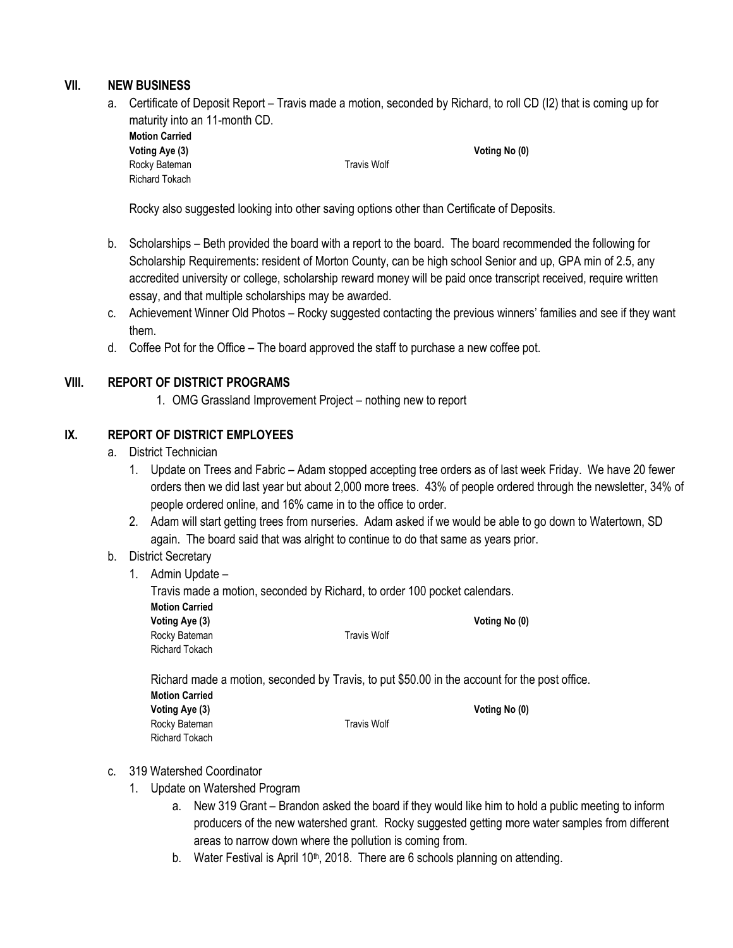# **VII. NEW BUSINESS**

a. Certificate of Deposit Report – Travis made a motion, seconded by Richard, to roll CD (I2) that is coming up for maturity into an 11-month CD.

| <b>Motion Carried</b> |             |               |
|-----------------------|-------------|---------------|
| Voting Aye (3)        |             | Voting No (0) |
| Rocky Bateman         | Travis Wolf |               |
| <b>Richard Tokach</b> |             |               |

Rocky also suggested looking into other saving options other than Certificate of Deposits.

- b. Scholarships Beth provided the board with a report to the board. The board recommended the following for Scholarship Requirements: resident of Morton County, can be high school Senior and up, GPA min of 2.5, any accredited university or college, scholarship reward money will be paid once transcript received, require written essay, and that multiple scholarships may be awarded.
- c. Achievement Winner Old Photos Rocky suggested contacting the previous winners' families and see if they want them.
- d. Coffee Pot for the Office The board approved the staff to purchase a new coffee pot.

# **VIII. REPORT OF DISTRICT PROGRAMS**

1. OMG Grassland Improvement Project – nothing new to report

# **IX. REPORT OF DISTRICT EMPLOYEES**

- a. District Technician
	- 1. Update on Trees and Fabric Adam stopped accepting tree orders as of last week Friday. We have 20 fewer orders then we did last year but about 2,000 more trees. 43% of people ordered through the newsletter, 34% of people ordered online, and 16% came in to the office to order.
	- 2. Adam will start getting trees from nurseries. Adam asked if we would be able to go down to Watertown, SD again. The board said that was alright to continue to do that same as years prior.

#### b. District Secretary

1. Admin Update –

| <b>Motion Carried</b>                                                                                                                                                              | Travis made a motion, seconded by Richard, to order 100 pocket calendars. |               |  |
|------------------------------------------------------------------------------------------------------------------------------------------------------------------------------------|---------------------------------------------------------------------------|---------------|--|
| Voting Aye (3)                                                                                                                                                                     |                                                                           | Voting No (0) |  |
| Rocky Bateman                                                                                                                                                                      | <b>Travis Wolf</b>                                                        |               |  |
| <b>Richard Tokach</b>                                                                                                                                                              |                                                                           |               |  |
| Richard made a motion, seconded by Travis, to put \$50.00 in the account for the post office.<br><b>Motion Carried</b><br>Voting Aye (3)<br>Rocky Bateman<br><b>Richard Tokach</b> | <b>Travis Wolf</b>                                                        | Voting No (0) |  |

- c. 319 Watershed Coordinator
	- 1. Update on Watershed Program
		- a. New 319 Grant Brandon asked the board if they would like him to hold a public meeting to inform producers of the new watershed grant. Rocky suggested getting more water samples from different areas to narrow down where the pollution is coming from.
		- b. Water Festival is April 10<sup>th</sup>, 2018. There are 6 schools planning on attending.